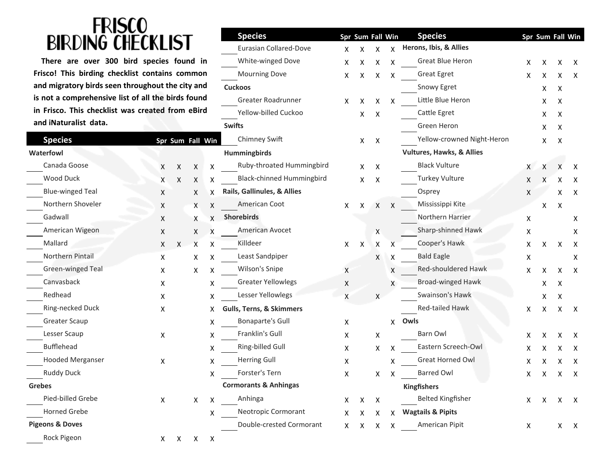## **FRISCO<br>BIRDING CHECKLIST**

| <b>Species</b>             |   | Spr Sum Fall Win |   |   | Chimney Swift                       |                | Χ | $\pmb{\mathsf{X}}$ |   |
|----------------------------|---|------------------|---|---|-------------------------------------|----------------|---|--------------------|---|
| <b>Waterfowl</b>           |   |                  |   |   | <b>Hummingbirds</b>                 |                |   |                    |   |
| Canada Goose               | Χ | $\mathsf X$      | X | X | Ruby-throated Hummingbird           |                | X | X                  |   |
| Wood Duck                  | Χ | X                | X | X | <b>Black-chinned Hummingbird</b>    |                | Χ | Χ                  |   |
| <b>Blue-winged Teal</b>    | Χ |                  | X | X | Rails, Gallinules, & Allies         |                |   |                    |   |
| Northern Shoveler          | X |                  | X | X | American Coot                       | X              | X | X                  | X |
| Gadwall                    | X |                  | X | X | <b>Shorebirds</b>                   |                |   |                    |   |
| American Wigeon            | X |                  | X | X | American Avocet                     |                |   | X                  |   |
| Mallard                    | X | X                | X | X | Killdeer                            | X              | X | X                  | х |
| Northern Pintail           | X |                  | х | X | Least Sandpiper                     |                |   | X                  | X |
| Green-winged Teal          | Χ |                  | X | Χ | Wilson's Snipe                      | X              |   |                    | Χ |
| Canvasback                 | Χ |                  |   | X | <b>Greater Yellowlegs</b>           | $\pmb{\times}$ |   |                    | X |
| Redhead                    | X |                  |   | x | Lesser Yellowlegs                   | X              |   | X                  |   |
| Ring-necked Duck           | X |                  |   | Χ | <b>Gulls, Terns, &amp; Skimmers</b> |                |   |                    |   |
| <b>Greater Scaup</b>       |   |                  |   | X | <b>Bonaparte's Gull</b>             | X              |   |                    | Χ |
| Lesser Scaup               | X |                  |   | X | Franklin's Gull                     | X              |   | X                  |   |
| <b>Bufflehead</b>          |   |                  |   | X | Ring-billed Gull                    | X              |   | X                  | х |
| <b>Hooded Merganser</b>    | X |                  |   | X | <b>Herring Gull</b>                 | X              |   |                    | х |
| <b>Ruddy Duck</b>          |   |                  |   | X | Forster's Tern                      | X              |   | X                  | X |
| <b>Grebes</b>              |   |                  |   |   | <b>Cormorants &amp; Anhingas</b>    |                |   |                    |   |
| Pied-billed Grebe          | X |                  | X | X | Anhinga                             | X              | X | X                  |   |
| <b>Horned Grebe</b>        |   |                  |   | X | Neotropic Cormorant                 | X              | X | X                  | Χ |
| <b>Pigeons &amp; Doves</b> |   |                  |   |   | Double-crested Cormorant            | X              | X | x                  | Χ |
| Rock Pigeon                |   | $X$ $X$ $X$      |   | Χ |                                     |                |   |                    |   |

| $\blacksquare$                                     |                      |              |                  | <b>Species</b> |                                     | Spr Sum Fall Win |         |                  | <b>Species</b> | Spr Sum Fall Win                     |    |   |    |              |
|----------------------------------------------------|----------------------|--------------|------------------|----------------|-------------------------------------|------------------|---------|------------------|----------------|--------------------------------------|----|---|----|--------------|
| BIR                                                |                      |              |                  |                | Eurasian Collared-Dove              | X.               | X       | $\mathsf{X}$     | X              | Herons, Ibis, & Allies               |    |   |    |              |
| There are over 300 bird species found in           | White-winged Dove    | X            | X                | Χ              | Χ                                   | Great Blue Heron | X       | X                | X              | X                                    |    |   |    |              |
| Frisco! This birding checklist contains common     |                      |              |                  |                | <b>Mourning Dove</b>                | X.               | X       | X                | X              | <b>Great Egret</b>                   | x  | х | х  | X            |
| and migratory birds seen throughout the city and   |                      |              |                  |                | <b>Cuckoos</b>                      |                  |         |                  |                | Snowy Egret                          |    | X | X  |              |
| is not a comprehensive list of all the birds found |                      |              |                  |                | Greater Roadrunner                  | X.               | X       | X                | X              | Little Blue Heron                    |    | х | X  |              |
| in Frisco. This checklist was created from eBird   | Yellow-billed Cuckoo |              | X                | X              |                                     | Cattle Egret     |         | X                | X              |                                      |    |   |    |              |
| and iNaturalist data.                              |                      |              |                  |                | <b>Swifts</b>                       |                  |         |                  |                | Green Heron                          |    |   | X  |              |
| <b>Species</b>                                     |                      |              | Spr Sum Fall Win |                | Chimney Swift                       |                  | X       | $\boldsymbol{X}$ |                | Yellow-crowned Night-Heron           |    | X | X  |              |
| <b>Waterfowl</b>                                   |                      |              |                  |                | <b>Hummingbirds</b>                 |                  |         |                  |                | <b>Vultures, Hawks, &amp; Allies</b> |    |   |    |              |
| Canada Goose                                       | X                    | X            | X                | X              | Ruby-throated Hummingbird           |                  | X.      | X                |                | <b>Black Vulture</b>                 | X  | X |    | X            |
| Wood Duck                                          | X                    | X            | X                | X              | Black-chinned Hummingbird           |                  | X       | Χ                |                | <b>Turkey Vulture</b>                | X  | X | х  | X            |
| <b>Blue-winged Teal</b>                            | X                    |              | X                | X              | Rails, Gallinules, & Allies         |                  |         |                  |                | Osprey                               | X  |   | х  | X            |
| Northern Shoveler                                  | X                    |              | X                | X              | American Coot                       | X                | X       | X                | X              | Mississippi Kite                     |    | X | X  |              |
| Gadwall                                            | X                    |              | X                | X              | <b>Shorebirds</b>                   |                  |         |                  |                | Northern Harrier                     | X  |   |    | х            |
| American Wigeon                                    | X                    |              | X                | X              | American Avocet                     |                  |         | X                |                | Sharp-shinned Hawk                   | X  |   |    | Χ            |
| Mallard                                            | X.                   | $\mathsf{X}$ | X                | X              | Killdeer                            | X                | X       | X                | x              | Cooper's Hawk                        | х  | Χ | х  | X            |
| Northern Pintail                                   | X.                   |              | х                |                | Least Sandpiper                     |                  |         | X                | х              | <b>Bald Eagle</b>                    | x  |   |    | X            |
| Green-winged Teal                                  | X                    |              | X                | х              | Wilson's Snipe                      | X                |         |                  | X              | Red-shouldered Hawk                  | X  | X | х  | X            |
| Canvasback                                         | X                    |              |                  | X              | <b>Greater Yellowlegs</b>           | X                |         |                  | X              | <b>Broad-winged Hawk</b>             |    | X | X  |              |
| Redhead                                            | X                    |              |                  | Х              | Lesser Yellowlegs                   | X                |         | X                |                | Swainson's Hawk                      |    | х | X  |              |
| Ring-necked Duck                                   | X                    |              |                  | X              | <b>Gulls, Terns, &amp; Skimmers</b> |                  |         |                  |                | Red-tailed Hawk                      | Χ  | Χ | X  | $\mathsf{X}$ |
| <b>Greater Scaup</b>                               |                      |              |                  | х              | <b>Bonaparte's Gull</b>             | Χ                |         |                  | X.             | Owls                                 |    |   |    |              |
| Lesser Scaup                                       | X                    |              |                  | х              | Franklin's Gull                     | Χ                |         | X                |                | Barn Owl                             | х  |   |    | X            |
| <b>Bufflehead</b>                                  |                      |              |                  | X              | Ring-billed Gull                    | x                |         | x                | x              | Eastern Screech-Owl                  | x  | х |    | X            |
| <b>Hooded Merganser</b>                            | X                    |              |                  | х              | <b>Herring Gull</b>                 | X                |         |                  | x              | Great Horned Owl                     | X  |   | х  | X            |
| Ruddy Duck                                         |                      |              |                  | х              | Forster's Tern                      | x                |         | X.               | X              | <b>Barred Owl</b>                    | X. | X | X. | х            |
| <b>Grebes</b>                                      |                      |              |                  |                | <b>Cormorants &amp; Anhingas</b>    |                  |         |                  |                | <b>Kingfishers</b>                   |    |   |    |              |
| Pied-billed Grebe                                  | $\pmb{\mathsf{X}}$   |              | X                | Х              | Anhinga                             | X                | X       | $\mathsf{X}$     |                | <b>Belted Kingfisher</b>             | X  | X | X  | $\mathsf{X}$ |
| <b>Horned Grebe</b>                                |                      |              |                  | X              | Neotropic Cormorant                 |                  | $X$ $X$ | $\mathsf{X}$     |                | X Wagtails & Pipits                  |    |   |    |              |
| <b>Pigeons &amp; Doves</b>                         |                      |              |                  |                | Double-crested Cormorant            |                  | X X X X |                  |                | American Pipit                       | X  |   |    | $X$ X        |
|                                                    |                      |              |                  |                |                                     |                  |         |                  |                |                                      |    |   |    |              |